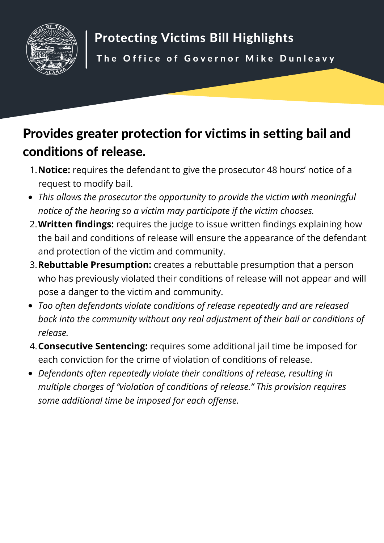

## Provides greater protection for victims in setting bail and conditions of release.

- **Notice:** requires the defendant to give the prosecutor 48 hours' notice of a 1. request to modify bail.
- *This allows the prosecutor the opportunity to provide the victim with meaningful notice of the hearing so a victim may participate if the victim chooses.*
- **Written findings:** requires the judge to issue written findings explaining how 2. the bail and conditions of release will ensure the appearance of the defendant and protection of the victim and community.
- **Rebuttable Presumption:** creates a rebuttable presumption that a person 3. who has previously violated their conditions of release will not appear and will pose a danger to the victim and community.
- *Too often defendants violate conditions of release repeatedly and are released back into the community without any real adjustment of their bail or conditions of release.*
- **Consecutive Sentencing:** requires some additional jail time be imposed for 4.each conviction for the crime of violation of conditions of release.
- *Defendants often repeatedly violate their conditions of release, resulting in multiple charges of "violation of conditions of release." This provision requires some additional time be imposed for each offense.*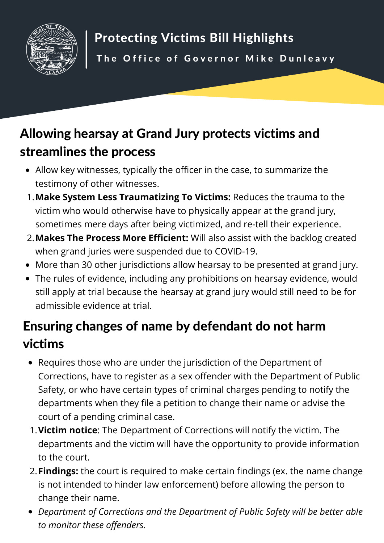

## Allowing hearsay at Grand Jury protects victims and streamlines the process

- Allow key witnesses, typically the officer in the case, to summarize the testimony of other witnesses.
- **Make System Less Traumatizing To Victims:** Reduces the trauma to the 1. victim who would otherwise have to physically appear at the grand jury, sometimes mere days after being victimized, and re-tell their experience.
- **Makes The Process More Efficient:** Will also assist with the backlog created 2. when grand juries were suspended due to COVID-19.
- More than 30 other jurisdictions allow hearsay to be presented at grand jury.
- The rules of evidence, including any prohibitions on hearsay evidence, would still apply at trial because the hearsay at grand jury would still need to be for admissible evidence at trial.

## Ensuring changes of name by defendant do not harm victims

- Requires those who are under the jurisdiction of the Department of Corrections, have to register as a sex offender with the Department of Public Safety, or who have certain types of criminal charges pending to notify the departments when they file a petition to change their name or advise the court of a pending criminal case.
- **Victim notice**: The Department of Corrections will notify the victim. The 1. departments and the victim will have the opportunity to provide information to the court.
- **Findings:** the court is required to make certain findings (ex. the name change 2. is not intended to hinder law enforcement) before allowing the person to change their name.
- *Department of Corrections and the Department of Public Safety will be better able to monitor these offenders.*